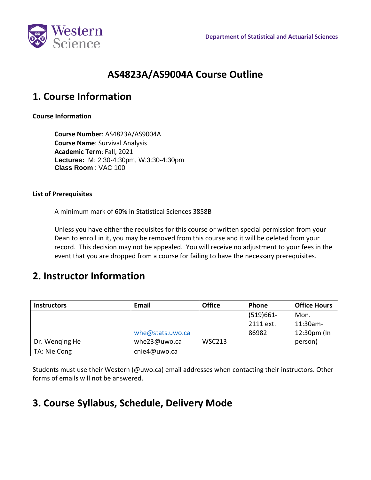

# **AS4823A/AS9004A Course Outline**

## **1. Course Information**

### **Course Information**

**Course Number**: AS4823A/AS9004A **Course Name**: Survival Analysis **Academic Term**: Fall, 2021 **Lectures:** M: 2:30-4:30pm, W:3:30-4:30pm **Class Room** : VAC 100

#### **List of Prerequisites**

A minimum mark of 60% in Statistical Sciences 3858B

Unless you have either the requisites for this course or written special permission from your Dean to enroll in it, you may be removed from this course and it will be deleted from your record. This decision may not be appealed. You will receive no adjustment to your fees in the event that you are dropped from a course for failing to have the necessary prerequisites.

### **2. Instructor Information**

| <b>Instructors</b> | Email            | <b>Office</b> | <b>Phone</b> | <b>Office Hours</b> |
|--------------------|------------------|---------------|--------------|---------------------|
|                    |                  |               | $(519)661 -$ | Mon.                |
|                    |                  |               | 2111 ext.    | 11:30am-            |
|                    | whe@stats.uwo.ca |               | 86982        | 12:30pm (In         |
| Dr. Wenging He     | whe23@uwo.ca     | <b>WSC213</b> |              | person)             |
| TA: Nie Cong       | cnie4@uwo.ca     |               |              |                     |

Students must use their Western (@uwo.ca) email addresses when contacting their instructors. Other forms of emails will not be answered.

# **3. Course Syllabus, Schedule, Delivery Mode**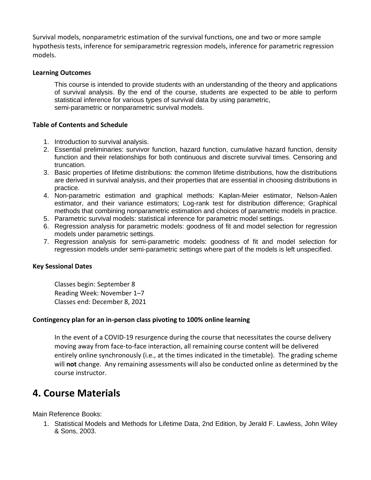Survival models, nonparametric estimation of the survival functions, one and two or more sample hypothesis tests, inference for semiparametric regression models, inference for parametric regression models.

#### **Learning Outcomes**

This course is intended to provide students with an understanding of the theory and applications of survival analysis. By the end of the course, students are expected to be able to perform statistical inference for various types of survival data by using parametric, semi-parametric or nonparametric survival models.

#### **Table of Contents and Schedule**

- 1. Introduction to survival analysis.
- 2. Essential preliminaries: survivor function, hazard function, cumulative hazard function, density function and their relationships for both continuous and discrete survival times. Censoring and truncation.
- 3. Basic properties of lifetime distributions: the common lifetime distributions, how the distributions are derived in survival analysis, and their properties that are essential in choosing distributions in practice.
- 4. Non-parametric estimation and graphical methods: Kaplan-Meier estimator, Nelson-Aalen estimator, and their variance estimators; Log-rank test for distribution difference; Graphical methods that combining nonparametric estimation and choices of parametric models in practice.
- 5. Parametric survival models: statistical inference for parametric model settings.
- 6. Regression analysis for parametric models: goodness of fit and model selection for regression models under parametric settings.
- 7. Regression analysis for semi-parametric models: goodness of fit and model selection for regression models under semi-parametric settings where part of the models is left unspecified.

#### **Key Sessional Dates**

Classes begin: September 8 Reading Week: November 1–7 Classes end: December 8, 2021

#### **Contingency plan for an in-person class pivoting to 100% online learning**

In the event of a COVID-19 resurgence during the course that necessitates the course delivery moving away from face-to-face interaction, all remaining course content will be delivered entirely online synchronously (i.e., at the times indicated in the timetable). The grading scheme will **not** change. Any remaining assessments will also be conducted online as determined by the course instructor.

## **4. Course Materials**

Main Reference Books:

1. Statistical Models and Methods for Lifetime Data, 2nd Edition, by Jerald F. Lawless, John Wiley & Sons, 2003.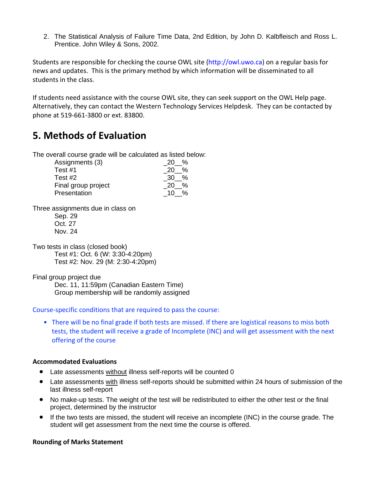2. The Statistical Analysis of Failure Time Data, 2nd Edition, by John D. Kalbfleisch and Ross L. Prentice. John Wiley & Sons, 2002.

Students are responsible for checking the course OWL site (http://owl.uwo.ca) on a regular basis for news and updates. This is the primary method by which information will be disseminated to all students in the class.

If students need assistance with the course OWL site, they can seek support on the OWL Help page. Alternatively, they can contact the Western Technology Services Helpdesk. They can be contacted by phone at 519-661-3800 or ext. 83800.

# **5. Methods of Evaluation**

The overall course grade will be calculated as listed below:

| Assignments (3)     | %<br>20 I   |
|---------------------|-------------|
| Test #1             | %<br>20     |
| Test $#2$           | $\%$<br>-30 |
| Final group project | %<br>20     |
| Presentation        | 10 %        |

Three assignments due in class on

Sep. 29 Oct. 27 Nov. 24

Two tests in class (closed book) Test #1: Oct. 6 (W: 3:30-4:20pm) Test #2: Nov. 29 (M: 2:30-4:20pm)

Final group project due

Dec. 11, 11:59pm (Canadian Eastern Time) Group membership will be randomly assigned

Course-specific conditions that are required to pass the course:

• There will be no final grade if both tests are missed. If there are logistical reasons to miss both tests, the student will receive a grade of Incomplete (INC) and will get assessment with the next offering of the course

### **Accommodated Evaluations**

- Late assessments without illness self-reports will be counted 0
- Late assessments with illness self-reports should be submitted within 24 hours of submission of the last illness self-report
- No make-up tests. The weight of the test will be redistributed to either the other test or the final project, determined by the instructor
- If the two tests are missed, the student will receive an incomplete (INC) in the course grade. The student will get assessment from the next time the course is offered.

### **Rounding of Marks Statement**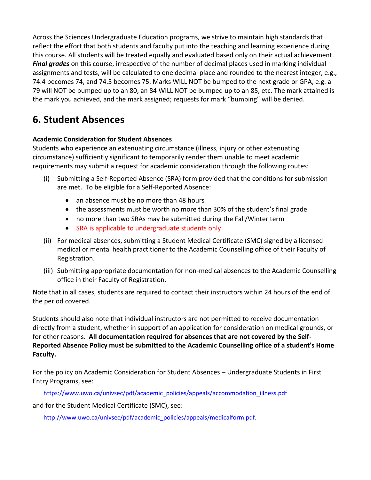Across the Sciences Undergraduate Education programs, we strive to maintain high standards that reflect the effort that both students and faculty put into the teaching and learning experience during this course. All students will be treated equally and evaluated based only on their actual achievement. *Final grades* on this course, irrespective of the number of decimal places used in marking individual assignments and tests, will be calculated to one decimal place and rounded to the nearest integer, e.g., 74.4 becomes 74, and 74.5 becomes 75. Marks WILL NOT be bumped to the next grade or GPA, e.g. a 79 will NOT be bumped up to an 80, an 84 WILL NOT be bumped up to an 85, etc. The mark attained is the mark you achieved, and the mark assigned; requests for mark "bumping" will be denied.

# **6. Student Absences**

### **Academic Consideration for Student Absences**

Students who experience an extenuating circumstance (illness, injury or other extenuating circumstance) sufficiently significant to temporarily render them unable to meet academic requirements may submit a request for academic consideration through the following routes:

- (i) Submitting a Self-Reported Absence (SRA) form provided that the conditions for submission are met. To be eligible for a Self-Reported Absence:
	- an absence must be no more than 48 hours
	- the assessments must be worth no more than 30% of the student's final grade
	- no more than two SRAs may be submitted during the Fall/Winter term
	- SRA is applicable to undergraduate students only
- (ii) For medical absences, submitting a Student Medical Certificate (SMC) signed by a licensed medical or mental health practitioner to the Academic Counselling office of their Faculty of Registration.
- (iii) Submitting appropriate documentation for non-medical absences to the Academic Counselling office in their Faculty of Registration.

Note that in all cases, students are required to contact their instructors within 24 hours of the end of the period covered.

Students should also note that individual instructors are not permitted to receive documentation directly from a student, whether in support of an application for consideration on medical grounds, or for other reasons. **All documentation required for absences that are not covered by the Self-Reported Absence Policy must be submitted to the Academic Counselling office of a student's Home Faculty.**

For the policy on Academic Consideration for Student Absences – Undergraduate Students in First Entry Programs, see:

https://www.uwo.ca/univsec/pdf/academic\_policies/appeals/accommodation\_illness.pdf

and for the Student Medical Certificate (SMC), see:

http://www.uwo.ca/univsec/pdf/academic\_policies/appeals/medicalform.pdf.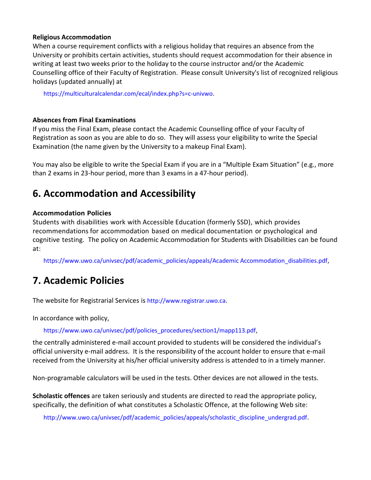#### **Religious Accommodation**

When a course requirement conflicts with a religious holiday that requires an absence from the University or prohibits certain activities, students should request accommodation for their absence in writing at least two weeks prior to the holiday to the course instructor and/or the Academic Counselling office of their Faculty of Registration. Please consult University's list of recognized religious holidays (updated annually) at

https://multiculturalcalendar.com/ecal/index.php?s=c-univwo.

### **Absences from Final Examinations**

If you miss the Final Exam, please contact the Academic Counselling office of your Faculty of Registration as soon as you are able to do so. They will assess your eligibility to write the Special Examination (the name given by the University to a makeup Final Exam).

You may also be eligible to write the Special Exam if you are in a "Multiple Exam Situation" (e.g., more than 2 exams in 23-hour period, more than 3 exams in a 47-hour period).

# **6. Accommodation and Accessibility**

### **Accommodation Policies**

Students with disabilities work with Accessible Education (formerly SSD), which provides recommendations for accommodation based on medical documentation or psychological and cognitive testing. The policy on Academic Accommodation for Students with Disabilities can be found at:

https://www.uwo.ca/univsec/pdf/academic\_policies/appeals/Academic Accommodation\_disabilities.pdf,

## **7. Academic Policies**

The website for Registrarial Services is http://www.registrar.uwo.ca.

In accordance with policy,

https://www.uwo.ca/univsec/pdf/policies\_procedures/section1/mapp113.pdf,

the centrally administered e-mail account provided to students will be considered the individual's official university e-mail address. It is the responsibility of the account holder to ensure that e-mail received from the University at his/her official university address is attended to in a timely manner.

Non-programable calculators will be used in the tests. Other devices are not allowed in the tests.

**Scholastic offences** are taken seriously and students are directed to read the appropriate policy, specifically, the definition of what constitutes a Scholastic Offence, at the following Web site:

http://www.uwo.ca/univsec/pdf/academic\_policies/appeals/scholastic\_discipline\_undergrad.pdf.